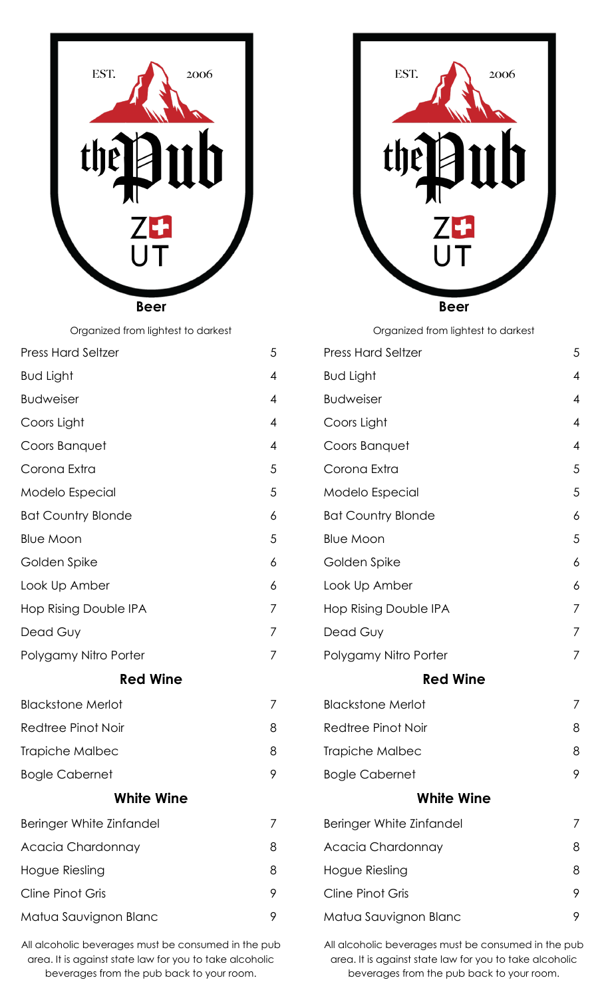

**Beer**

Organized from lightest to darkest

| <b>Press Hard Seltzer</b> | 5 |
|---------------------------|---|
| <b>Bud Light</b>          | 4 |
| <b>Budweiser</b>          | 4 |
| Coors Light               | 4 |
| Coors Banquet             | 4 |
| Corona Extra              | 5 |
| Modelo Especial           | 5 |
| <b>Bat Country Blonde</b> | 6 |
| <b>Blue Moon</b>          | 5 |
| Golden Spike              | 6 |
| Look Up Amber             | 6 |
| Hop Rising Double IPA     | 7 |
| Dead Guy                  | 7 |
| Polygamy Nitro Porter     | 7 |
| <b>Red Wine</b>           |   |
| <b>Blackstone Merlot</b>  | 7 |
| Redtree Pinot Noir        | 8 |
| Trapiche Malbec           | 8 |
| <b>Bogle Cabernet</b>     | 9 |
| <b>White Wine</b>         |   |
| Beringer White Zinfandel  | 7 |
| Acacia Chardonnay         | 8 |
| Hogue Riesling            | 8 |
| <b>Cline Pinot Gris</b>   | 9 |
| Matua Sauvignon Blanc     | 9 |

All alcoholic beverages must be consumed in the pub area. It is against state law for you to take alcoholic beverages from the pub back to your room.



Organized from lightest to darkest

|            | <b>Press Hard Seltzer</b>    | 5 |
|------------|------------------------------|---|
|            | <b>Bud Light</b>             | 4 |
|            | <b>Budweiser</b>             | 4 |
|            | Coors Light                  | 4 |
|            | Coors Banquet                | 4 |
|            | Corona Extra                 | 5 |
|            | Modelo Especial              | 5 |
|            | <b>Bat Country Blonde</b>    | 6 |
|            | <b>Blue Moon</b>             | 5 |
|            | Golden Spike                 | 6 |
|            | Look Up Amber                | 6 |
|            | <b>Hop Rising Double IPA</b> | 7 |
|            | Dead Guy                     | 7 |
|            | Polygamy Nitro Porter        | 7 |
|            | <b>Red Wine</b>              |   |
|            | <b>Blackstone Merlot</b>     | 7 |
|            | <b>Redtree Pinot Noir</b>    | 8 |
|            | Trapiche Malbec              | 8 |
|            | <b>Bogle Cabernet</b>        | 9 |
| White Wine |                              |   |
|            | Beringer White Zinfandel     |   |
|            | Acacia Chardonnay            | 8 |
|            | Hogue Riesling               | 8 |
|            | <b>Cline Pinot Gris</b>      | 9 |
|            | Matua Sauvignon Blanc        | 9 |
|            |                              |   |

All alcoholic beverages must be consumed in the pub area. It is against state law for you to take alcoholic beverages from the pub back to your room.